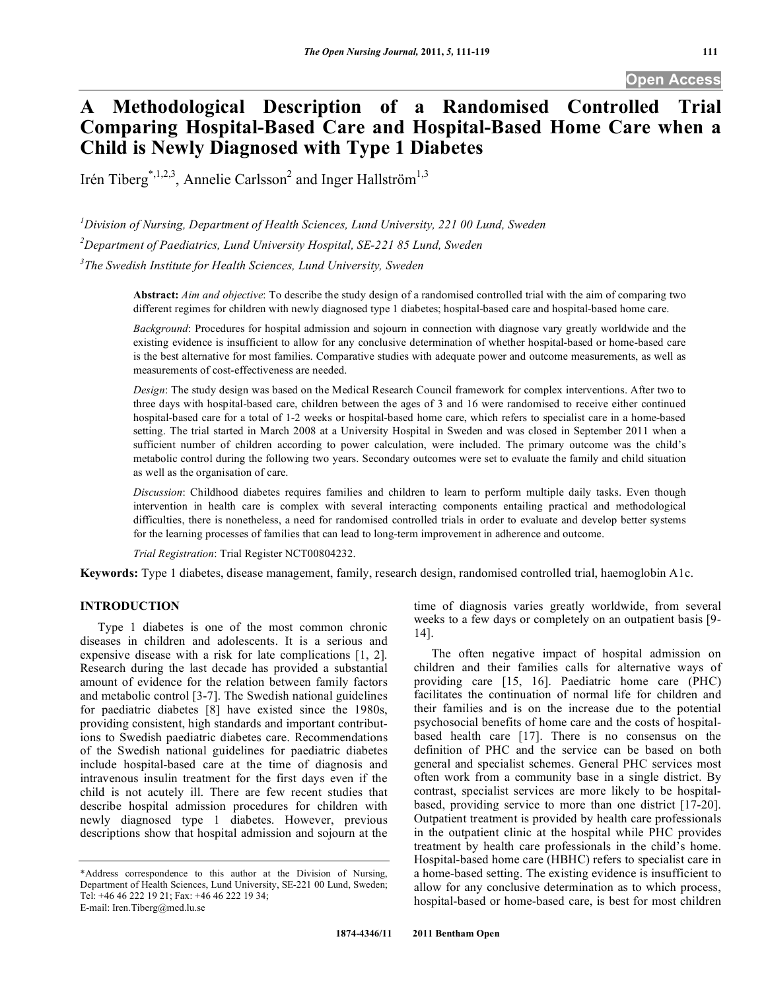# **A Methodological Description of a Randomised Controlled Trial Comparing Hospital-Based Care and Hospital-Based Home Care when a Child is Newly Diagnosed with Type 1 Diabetes**

Irén Tiberg<sup>\*,1,2,3</sup>, Annelie Carlsson<sup>2</sup> and Inger Hallström<sup>1,3</sup>

<sup>1</sup> Division of Nursing, Department of Health Sciences, Lund University, 221 00 Lund, Sweden

*2 Department of Paediatrics, Lund University Hospital, SE-221 85 Lund, Sweden* 

*3 The Swedish Institute for Health Sciences, Lund University, Sweden* 

**Abstract:** *Aim and objective*: To describe the study design of a randomised controlled trial with the aim of comparing two different regimes for children with newly diagnosed type 1 diabetes; hospital-based care and hospital-based home care.

*Background*: Procedures for hospital admission and sojourn in connection with diagnose vary greatly worldwide and the existing evidence is insufficient to allow for any conclusive determination of whether hospital-based or home-based care is the best alternative for most families. Comparative studies with adequate power and outcome measurements, as well as measurements of cost-effectiveness are needed.

*Design*: The study design was based on the Medical Research Council framework for complex interventions. After two to three days with hospital-based care, children between the ages of 3 and 16 were randomised to receive either continued hospital-based care for a total of 1-2 weeks or hospital-based home care, which refers to specialist care in a home-based setting. The trial started in March 2008 at a University Hospital in Sweden and was closed in September 2011 when a sufficient number of children according to power calculation, were included. The primary outcome was the child's metabolic control during the following two years. Secondary outcomes were set to evaluate the family and child situation as well as the organisation of care.

*Discussion*: Childhood diabetes requires families and children to learn to perform multiple daily tasks. Even though intervention in health care is complex with several interacting components entailing practical and methodological difficulties, there is nonetheless, a need for randomised controlled trials in order to evaluate and develop better systems for the learning processes of families that can lead to long-term improvement in adherence and outcome.

*Trial Registration*: Trial Register NCT00804232.

**Keywords:** Type 1 diabetes, disease management, family, research design, randomised controlled trial, haemoglobin A1c.

# **INTRODUCTION**

 Type 1 diabetes is one of the most common chronic diseases in children and adolescents. It is a serious and expensive disease with a risk for late complications [1, 2]. Research during the last decade has provided a substantial amount of evidence for the relation between family factors and metabolic control [3-7]. The Swedish national guidelines for paediatric diabetes [8] have existed since the 1980s, providing consistent, high standards and important contributions to Swedish paediatric diabetes care. Recommendations of the Swedish national guidelines for paediatric diabetes include hospital-based care at the time of diagnosis and intravenous insulin treatment for the first days even if the child is not acutely ill. There are few recent studies that describe hospital admission procedures for children with newly diagnosed type 1 diabetes. However, previous descriptions show that hospital admission and sojourn at the

time of diagnosis varies greatly worldwide, from several weeks to a few days or completely on an outpatient basis [9- 14].

 The often negative impact of hospital admission on children and their families calls for alternative ways of providing care [15, 16]. Paediatric home care (PHC) facilitates the continuation of normal life for children and their families and is on the increase due to the potential psychosocial benefits of home care and the costs of hospitalbased health care [17]. There is no consensus on the definition of PHC and the service can be based on both general and specialist schemes. General PHC services most often work from a community base in a single district. By contrast, specialist services are more likely to be hospitalbased, providing service to more than one district [17-20]. Outpatient treatment is provided by health care professionals in the outpatient clinic at the hospital while PHC provides treatment by health care professionals in the child's home. Hospital-based home care (HBHC) refers to specialist care in a home-based setting. The existing evidence is insufficient to allow for any conclusive determination as to which process, hospital-based or home-based care, is best for most children

<sup>\*</sup>Address correspondence to this author at the Division of Nursing, Department of Health Sciences, Lund University, SE-221 00 Lund, Sweden; Tel: +46 46 222 19 21; Fax: +46 46 222 19 34; E-mail: Iren.Tiberg@med.lu.se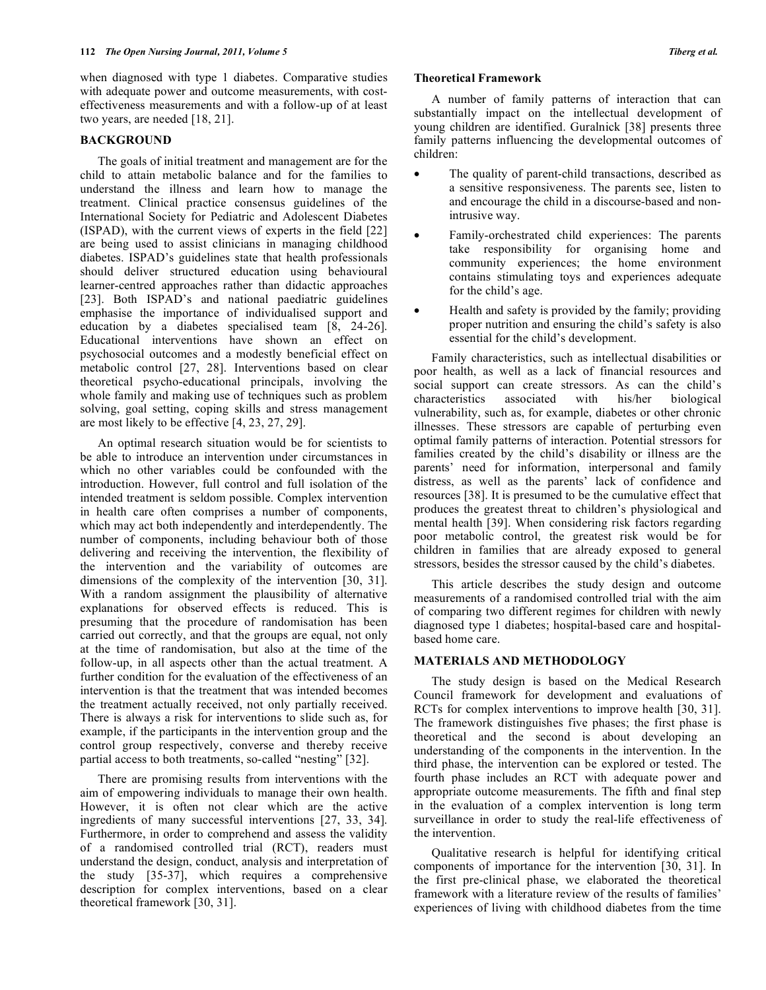when diagnosed with type 1 diabetes. Comparative studies with adequate power and outcome measurements, with costeffectiveness measurements and with a follow-up of at least two years, are needed [18, 21].

### **BACKGROUND**

 The goals of initial treatment and management are for the child to attain metabolic balance and for the families to understand the illness and learn how to manage the treatment. Clinical practice consensus guidelines of the International Society for Pediatric and Adolescent Diabetes (ISPAD), with the current views of experts in the field [22] are being used to assist clinicians in managing childhood diabetes. ISPAD's guidelines state that health professionals should deliver structured education using behavioural learner-centred approaches rather than didactic approaches [23]. Both ISPAD's and national paediatric guidelines emphasise the importance of individualised support and education by a diabetes specialised team [8, 24-26]. Educational interventions have shown an effect on psychosocial outcomes and a modestly beneficial effect on metabolic control [27, 28]. Interventions based on clear theoretical psycho-educational principals, involving the whole family and making use of techniques such as problem solving, goal setting, coping skills and stress management are most likely to be effective [4, 23, 27, 29].

 An optimal research situation would be for scientists to be able to introduce an intervention under circumstances in which no other variables could be confounded with the introduction. However, full control and full isolation of the intended treatment is seldom possible. Complex intervention in health care often comprises a number of components, which may act both independently and interdependently. The number of components, including behaviour both of those delivering and receiving the intervention, the flexibility of the intervention and the variability of outcomes are dimensions of the complexity of the intervention [30, 31]. With a random assignment the plausibility of alternative explanations for observed effects is reduced. This is presuming that the procedure of randomisation has been carried out correctly, and that the groups are equal, not only at the time of randomisation, but also at the time of the follow-up, in all aspects other than the actual treatment. A further condition for the evaluation of the effectiveness of an intervention is that the treatment that was intended becomes the treatment actually received, not only partially received. There is always a risk for interventions to slide such as, for example, if the participants in the intervention group and the control group respectively, converse and thereby receive partial access to both treatments, so-called "nesting" [32].

 There are promising results from interventions with the aim of empowering individuals to manage their own health. However, it is often not clear which are the active ingredients of many successful interventions [27, 33, 34]. Furthermore, in order to comprehend and assess the validity of a randomised controlled trial (RCT), readers must understand the design, conduct, analysis and interpretation of the study [35-37], which requires a comprehensive description for complex interventions, based on a clear theoretical framework [30, 31].

#### **Theoretical Framework**

 A number of family patterns of interaction that can substantially impact on the intellectual development of young children are identified. Guralnick [38] presents three family patterns influencing the developmental outcomes of children:

- The quality of parent-child transactions, described as a sensitive responsiveness. The parents see, listen to and encourage the child in a discourse-based and nonintrusive way.
- Family-orchestrated child experiences: The parents take responsibility for organising home and community experiences; the home environment contains stimulating toys and experiences adequate for the child's age.
- Health and safety is provided by the family; providing proper nutrition and ensuring the child's safety is also essential for the child's development.

 Family characteristics, such as intellectual disabilities or poor health, as well as a lack of financial resources and social support can create stressors. As can the child's characteristics associated with his/her biological vulnerability, such as, for example, diabetes or other chronic illnesses. These stressors are capable of perturbing even optimal family patterns of interaction. Potential stressors for families created by the child's disability or illness are the parents' need for information, interpersonal and family distress, as well as the parents' lack of confidence and resources [38]. It is presumed to be the cumulative effect that produces the greatest threat to children's physiological and mental health [39]. When considering risk factors regarding poor metabolic control, the greatest risk would be for children in families that are already exposed to general stressors, besides the stressor caused by the child's diabetes.

 This article describes the study design and outcome measurements of a randomised controlled trial with the aim of comparing two different regimes for children with newly diagnosed type 1 diabetes; hospital-based care and hospitalbased home care.

# **MATERIALS AND METHODOLOGY**

 The study design is based on the Medical Research Council framework for development and evaluations of RCTs for complex interventions to improve health [30, 31]. The framework distinguishes five phases; the first phase is theoretical and the second is about developing an understanding of the components in the intervention. In the third phase, the intervention can be explored or tested. The fourth phase includes an RCT with adequate power and appropriate outcome measurements. The fifth and final step in the evaluation of a complex intervention is long term surveillance in order to study the real-life effectiveness of the intervention.

 Qualitative research is helpful for identifying critical components of importance for the intervention [30, 31]. In the first pre-clinical phase, we elaborated the theoretical framework with a literature review of the results of families' experiences of living with childhood diabetes from the time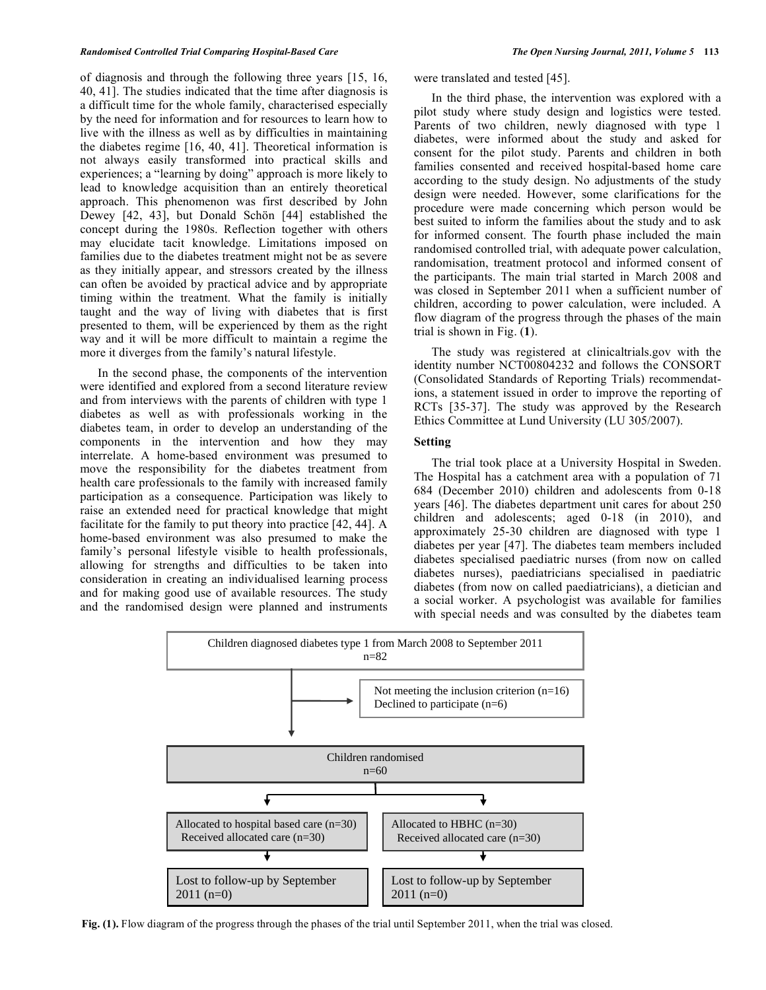of diagnosis and through the following three years [15, 16, 40, 41]. The studies indicated that the time after diagnosis is a difficult time for the whole family, characterised especially by the need for information and for resources to learn how to live with the illness as well as by difficulties in maintaining the diabetes regime [16, 40, 41]. Theoretical information is not always easily transformed into practical skills and experiences; a "learning by doing" approach is more likely to lead to knowledge acquisition than an entirely theoretical approach. This phenomenon was first described by John Dewey [42, 43], but Donald Schön [44] established the concept during the 1980s. Reflection together with others may elucidate tacit knowledge. Limitations imposed on families due to the diabetes treatment might not be as severe as they initially appear, and stressors created by the illness can often be avoided by practical advice and by appropriate timing within the treatment. What the family is initially taught and the way of living with diabetes that is first presented to them, will be experienced by them as the right way and it will be more difficult to maintain a regime the more it diverges from the family's natural lifestyle.

 In the second phase, the components of the intervention were identified and explored from a second literature review and from interviews with the parents of children with type 1 diabetes as well as with professionals working in the diabetes team, in order to develop an understanding of the components in the intervention and how they may interrelate. A home-based environment was presumed to move the responsibility for the diabetes treatment from health care professionals to the family with increased family participation as a consequence. Participation was likely to raise an extended need for practical knowledge that might facilitate for the family to put theory into practice [42, 44]. A home-based environment was also presumed to make the family's personal lifestyle visible to health professionals, allowing for strengths and difficulties to be taken into consideration in creating an individualised learning process and for making good use of available resources. The study and the randomised design were planned and instruments were translated and tested [45].

 In the third phase, the intervention was explored with a pilot study where study design and logistics were tested. Parents of two children, newly diagnosed with type 1 diabetes, were informed about the study and asked for consent for the pilot study. Parents and children in both families consented and received hospital-based home care according to the study design. No adjustments of the study design were needed. However, some clarifications for the procedure were made concerning which person would be best suited to inform the families about the study and to ask for informed consent. The fourth phase included the main randomised controlled trial, with adequate power calculation, randomisation, treatment protocol and informed consent of the participants. The main trial started in March 2008 and was closed in September 2011 when a sufficient number of children, according to power calculation, were included. A flow diagram of the progress through the phases of the main trial is shown in Fig. (**1**).

 The study was registered at clinicaltrials.gov with the identity number NCT00804232 and follows the CONSORT (Consolidated Standards of Reporting Trials) recommendations, a statement issued in order to improve the reporting of RCTs [35-37]. The study was approved by the Research Ethics Committee at Lund University (LU 305/2007).

## **Setting**

 The trial took place at a University Hospital in Sweden. The Hospital has a catchment area with a population of 71 684 (December 2010) children and adolescents from 0-18 years [46]. The diabetes department unit cares for about 250 children and adolescents; aged 0-18 (in 2010), and approximately 25-30 children are diagnosed with type 1 diabetes per year [47]. The diabetes team members included diabetes specialised paediatric nurses (from now on called diabetes nurses), paediatricians specialised in paediatric diabetes (from now on called paediatricians), a dietician and a social worker. A psychologist was available for families with special needs and was consulted by the diabetes team



**Fig. (1).** Flow diagram of the progress through the phases of the trial until September 2011, when the trial was closed.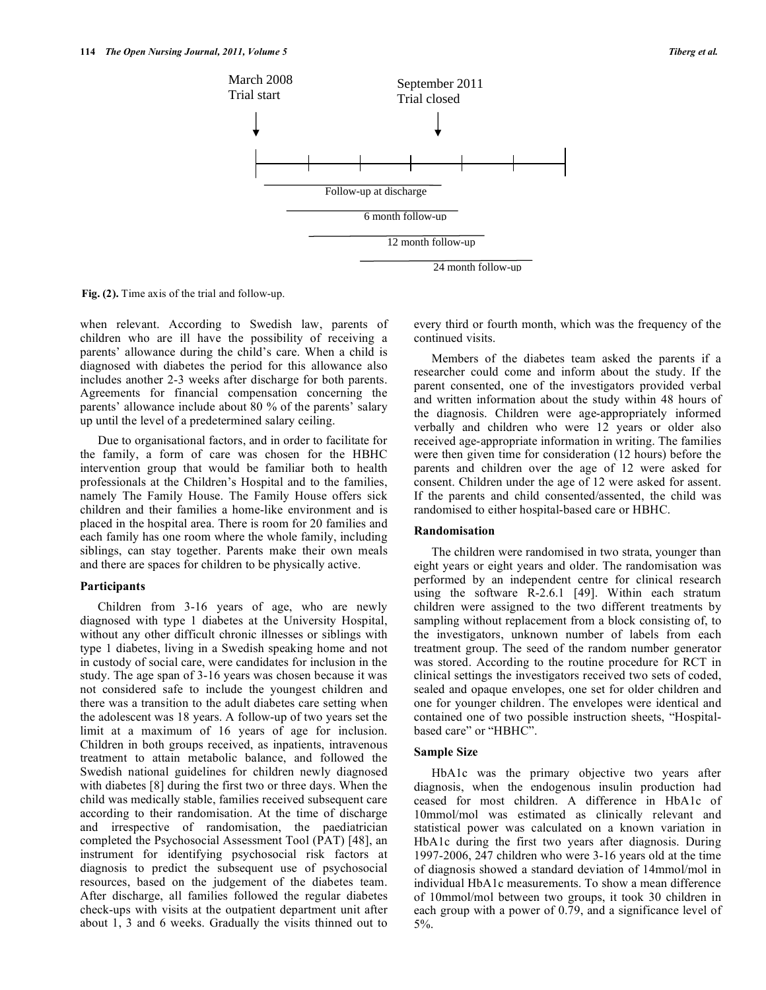

**Fig. (2).** Time axis of the trial and follow-up.

when relevant. According to Swedish law, parents of children who are ill have the possibility of receiving a parents' allowance during the child's care. When a child is diagnosed with diabetes the period for this allowance also includes another 2-3 weeks after discharge for both parents. Agreements for financial compensation concerning the parents' allowance include about 80 % of the parents' salary up until the level of a predetermined salary ceiling.

 Due to organisational factors, and in order to facilitate for the family, a form of care was chosen for the HBHC intervention group that would be familiar both to health professionals at the Children's Hospital and to the families, namely The Family House. The Family House offers sick children and their families a home-like environment and is placed in the hospital area. There is room for 20 families and each family has one room where the whole family, including siblings, can stay together. Parents make their own meals and there are spaces for children to be physically active.

#### **Participants**

 Children from 3-16 years of age, who are newly diagnosed with type 1 diabetes at the University Hospital, without any other difficult chronic illnesses or siblings with type 1 diabetes, living in a Swedish speaking home and not in custody of social care, were candidates for inclusion in the study. The age span of 3-16 years was chosen because it was not considered safe to include the youngest children and there was a transition to the adult diabetes care setting when the adolescent was 18 years. A follow-up of two years set the limit at a maximum of 16 years of age for inclusion. Children in both groups received, as inpatients, intravenous treatment to attain metabolic balance, and followed the Swedish national guidelines for children newly diagnosed with diabetes [8] during the first two or three days. When the child was medically stable, families received subsequent care according to their randomisation. At the time of discharge and irrespective of randomisation, the paediatrician completed the Psychosocial Assessment Tool (PAT) [48], an instrument for identifying psychosocial risk factors at diagnosis to predict the subsequent use of psychosocial resources, based on the judgement of the diabetes team. After discharge, all families followed the regular diabetes check-ups with visits at the outpatient department unit after about 1, 3 and 6 weeks. Gradually the visits thinned out to

every third or fourth month, which was the frequency of the continued visits.

 Members of the diabetes team asked the parents if a researcher could come and inform about the study. If the parent consented, one of the investigators provided verbal and written information about the study within 48 hours of the diagnosis. Children were age-appropriately informed verbally and children who were 12 years or older also received age-appropriate information in writing. The families were then given time for consideration (12 hours) before the parents and children over the age of 12 were asked for consent. Children under the age of 12 were asked for assent. If the parents and child consented/assented, the child was randomised to either hospital-based care or HBHC.

#### **Randomisation**

 The children were randomised in two strata, younger than eight years or eight years and older. The randomisation was performed by an independent centre for clinical research using the software R-2.6.1 [49]. Within each stratum children were assigned to the two different treatments by sampling without replacement from a block consisting of, to the investigators, unknown number of labels from each treatment group. The seed of the random number generator was stored. According to the routine procedure for RCT in clinical settings the investigators received two sets of coded, sealed and opaque envelopes, one set for older children and one for younger children. The envelopes were identical and contained one of two possible instruction sheets, "Hospitalbased care" or "HBHC".

#### **Sample Size**

 HbA1c was the primary objective two years after diagnosis, when the endogenous insulin production had ceased for most children. A difference in HbA1c of 10mmol/mol was estimated as clinically relevant and statistical power was calculated on a known variation in HbA1c during the first two years after diagnosis. During 1997-2006, 247 children who were 3-16 years old at the time of diagnosis showed a standard deviation of 14mmol/mol in individual HbA1c measurements. To show a mean difference of 10mmol/mol between two groups, it took 30 children in each group with a power of 0.79, and a significance level of 5%.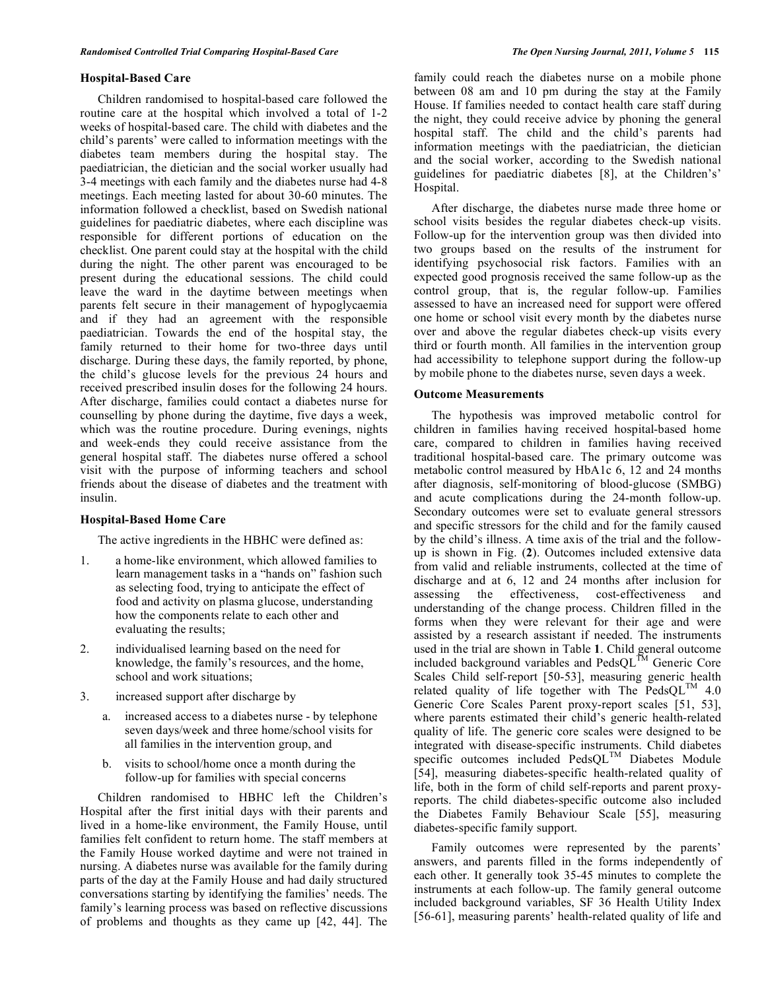# **Hospital-Based Care**

 Children randomised to hospital-based care followed the routine care at the hospital which involved a total of 1-2 weeks of hospital-based care. The child with diabetes and the child's parents' were called to information meetings with the diabetes team members during the hospital stay. The paediatrician, the dietician and the social worker usually had 3-4 meetings with each family and the diabetes nurse had 4-8 meetings. Each meeting lasted for about 30-60 minutes. The information followed a checklist, based on Swedish national guidelines for paediatric diabetes, where each discipline was responsible for different portions of education on the checklist. One parent could stay at the hospital with the child during the night. The other parent was encouraged to be present during the educational sessions. The child could leave the ward in the daytime between meetings when parents felt secure in their management of hypoglycaemia and if they had an agreement with the responsible paediatrician. Towards the end of the hospital stay, the family returned to their home for two-three days until discharge. During these days, the family reported, by phone, the child's glucose levels for the previous 24 hours and received prescribed insulin doses for the following 24 hours. After discharge, families could contact a diabetes nurse for counselling by phone during the daytime, five days a week, which was the routine procedure. During evenings, nights and week-ends they could receive assistance from the general hospital staff. The diabetes nurse offered a school visit with the purpose of informing teachers and school friends about the disease of diabetes and the treatment with insulin.

# **Hospital-Based Home Care**

The active ingredients in the HBHC were defined as:

- 1. a home-like environment, which allowed families to learn management tasks in a "hands on" fashion such as selecting food, trying to anticipate the effect of food and activity on plasma glucose, understanding how the components relate to each other and evaluating the results;
- 2. individualised learning based on the need for knowledge, the family's resources, and the home, school and work situations;
- 3. increased support after discharge by
	- a. increased access to a diabetes nurse by telephone seven days/week and three home/school visits for all families in the intervention group, and
	- b. visits to school/home once a month during the follow-up for families with special concerns

 Children randomised to HBHC left the Children's Hospital after the first initial days with their parents and lived in a home-like environment, the Family House, until families felt confident to return home. The staff members at the Family House worked daytime and were not trained in nursing. A diabetes nurse was available for the family during parts of the day at the Family House and had daily structured conversations starting by identifying the families' needs. The family's learning process was based on reflective discussions of problems and thoughts as they came up [42, 44]. The

family could reach the diabetes nurse on a mobile phone between 08 am and 10 pm during the stay at the Family House. If families needed to contact health care staff during the night, they could receive advice by phoning the general hospital staff. The child and the child's parents had information meetings with the paediatrician, the dietician and the social worker, according to the Swedish national guidelines for paediatric diabetes [8], at the Children's' Hospital.

 After discharge, the diabetes nurse made three home or school visits besides the regular diabetes check-up visits. Follow-up for the intervention group was then divided into two groups based on the results of the instrument for identifying psychosocial risk factors. Families with an expected good prognosis received the same follow-up as the control group, that is, the regular follow-up. Families assessed to have an increased need for support were offered one home or school visit every month by the diabetes nurse over and above the regular diabetes check-up visits every third or fourth month. All families in the intervention group had accessibility to telephone support during the follow-up by mobile phone to the diabetes nurse, seven days a week.

## **Outcome Measurements**

 The hypothesis was improved metabolic control for children in families having received hospital-based home care, compared to children in families having received traditional hospital-based care. The primary outcome was metabolic control measured by HbA1c 6, 12 and 24 months after diagnosis, self-monitoring of blood-glucose (SMBG) and acute complications during the 24-month follow-up. Secondary outcomes were set to evaluate general stressors and specific stressors for the child and for the family caused by the child's illness. A time axis of the trial and the followup is shown in Fig. (**2**). Outcomes included extensive data from valid and reliable instruments, collected at the time of discharge and at 6, 12 and 24 months after inclusion for assessing the effectiveness, cost-effectiveness and understanding of the change process. Children filled in the forms when they were relevant for their age and were assisted by a research assistant if needed. The instruments used in the trial are shown in Table **1**. Child general outcome included background variables and  $\text{PedsOL}^{\text{TM}}$  Generic Core Scales Child self-report [50-53], measuring generic health related quality of life together with The  $PedsQL^{TM}$  4.0 Generic Core Scales Parent proxy-report scales [51, 53], where parents estimated their child's generic health-related quality of life. The generic core scales were designed to be integrated with disease-specific instruments. Child diabetes specific outcomes included PedsQL<sup>TM</sup> Diabetes Module [54], measuring diabetes-specific health-related quality of life, both in the form of child self-reports and parent proxyreports. The child diabetes-specific outcome also included the Diabetes Family Behaviour Scale [55], measuring diabetes-specific family support.

 Family outcomes were represented by the parents' answers, and parents filled in the forms independently of each other. It generally took 35-45 minutes to complete the instruments at each follow-up. The family general outcome included background variables, SF 36 Health Utility Index [56-61], measuring parents' health-related quality of life and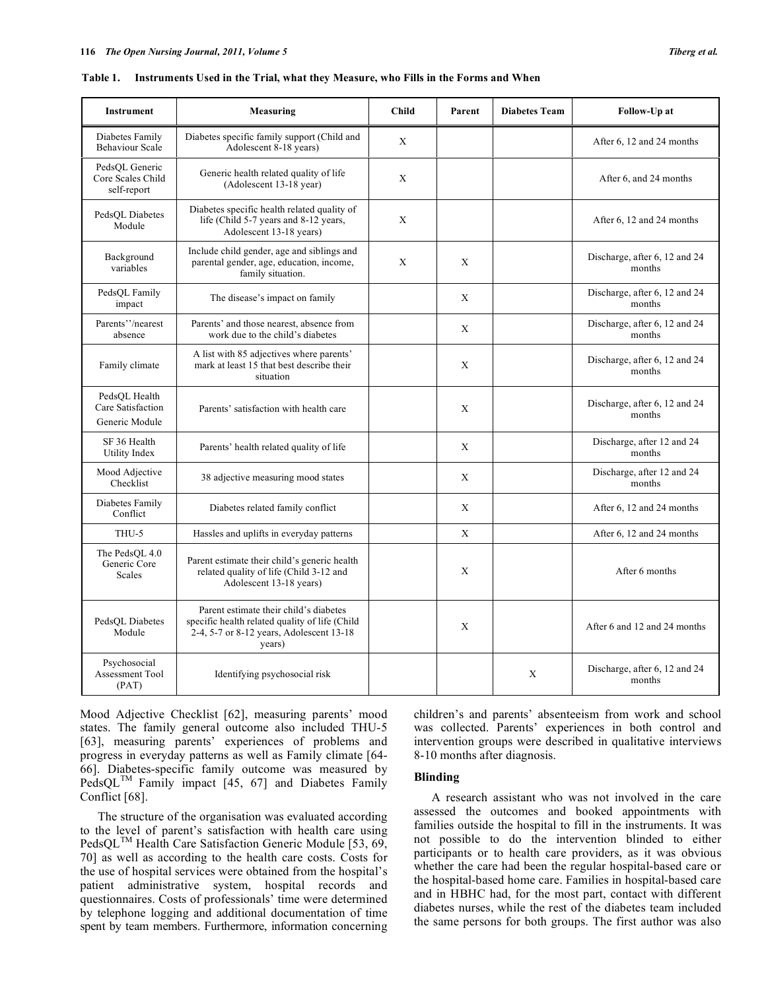| <b>Instrument</b>                                    | Measuring                                                                                                                                      | <b>Child</b> | Parent       | <b>Diabetes Team</b> | Follow-Up at                            |
|------------------------------------------------------|------------------------------------------------------------------------------------------------------------------------------------------------|--------------|--------------|----------------------|-----------------------------------------|
| Diabetes Family<br><b>Behaviour Scale</b>            | Diabetes specific family support (Child and<br>Adolescent 8-18 years)                                                                          | X            |              |                      | After 6, 12 and 24 months               |
| PedsOL Generic<br>Core Scales Child<br>self-report   | Generic health related quality of life<br>(Adolescent 13-18 year)                                                                              | X            |              |                      | After 6, and 24 months                  |
| PedsOL Diabetes<br>Module                            | Diabetes specific health related quality of<br>life (Child 5-7 years and 8-12 years,<br>Adolescent 13-18 years)                                | X            |              |                      | After 6, 12 and 24 months               |
| Background<br>variables                              | Include child gender, age and siblings and<br>parental gender, age, education, income,<br>family situation.                                    | X            | X            |                      | Discharge, after 6, 12 and 24<br>months |
| PedsQL Family<br>impact                              | The disease's impact on family                                                                                                                 |              | X            |                      | Discharge, after 6, 12 and 24<br>months |
| Parents"/nearest<br>absence                          | Parents' and those nearest, absence from<br>work due to the child's diabetes                                                                   |              | X            |                      | Discharge, after 6, 12 and 24<br>months |
| Family climate                                       | A list with 85 adjectives where parents'<br>mark at least 15 that best describe their<br>situation                                             |              | X            |                      | Discharge, after 6, 12 and 24<br>months |
| PedsOL Health<br>Care Satisfaction<br>Generic Module | Parents' satisfaction with health care                                                                                                         |              | X            |                      | Discharge, after 6, 12 and 24<br>months |
| SF 36 Health<br>Utility Index                        | Parents' health related quality of life                                                                                                        |              | X            |                      | Discharge, after 12 and 24<br>months    |
| Mood Adjective<br>Checklist                          | 38 adjective measuring mood states                                                                                                             |              | X            |                      | Discharge, after 12 and 24<br>months    |
| Diabetes Family<br>Conflict                          | Diabetes related family conflict                                                                                                               |              | X            |                      | After 6, 12 and 24 months               |
| THU-5                                                | Hassles and uplifts in everyday patterns                                                                                                       |              | $\mathbf{X}$ |                      | After 6, 12 and 24 months               |
| The PedsOL 4.0<br>Generic Core<br><b>Scales</b>      | Parent estimate their child's generic health<br>related quality of life (Child 3-12 and<br>Adolescent 13-18 years)                             |              | X            |                      | After 6 months                          |
| PedsOL Diabetes<br>Module                            | Parent estimate their child's diabetes<br>specific health related quality of life (Child<br>2-4, 5-7 or 8-12 years, Adolescent 13-18<br>years) |              | X            |                      | After 6 and 12 and 24 months            |
| Psychosocial<br>Assessment Tool<br>(PAT)             | Identifying psychosocial risk                                                                                                                  |              |              | X                    | Discharge, after 6, 12 and 24<br>months |

|  |  | Table 1. Instruments Used in the Trial, what they Measure, who Fills in the Forms and When |
|--|--|--------------------------------------------------------------------------------------------|
|  |  |                                                                                            |

Mood Adjective Checklist [62], measuring parents' mood states. The family general outcome also included THU-5 [63], measuring parents' experiences of problems and progress in everyday patterns as well as Family climate [64- 66]. Diabetes-specific family outcome was measured by PedsQL<sup>TM</sup> Family impact [45, 67] and Diabetes Family Conflict [68].

 The structure of the organisation was evaluated according to the level of parent's satisfaction with health care using PedsQL<sup>TM</sup> Health Care Satisfaction Generic Module [53, 69, 70] as well as according to the health care costs. Costs for the use of hospital services were obtained from the hospital's patient administrative system, hospital records and questionnaires. Costs of professionals' time were determined by telephone logging and additional documentation of time spent by team members. Furthermore, information concerning children's and parents' absenteeism from work and school was collected. Parents' experiences in both control and intervention groups were described in qualitative interviews 8-10 months after diagnosis.

# **Blinding**

 A research assistant who was not involved in the care assessed the outcomes and booked appointments with families outside the hospital to fill in the instruments. It was not possible to do the intervention blinded to either participants or to health care providers, as it was obvious whether the care had been the regular hospital-based care or the hospital-based home care. Families in hospital-based care and in HBHC had, for the most part, contact with different diabetes nurses, while the rest of the diabetes team included the same persons for both groups. The first author was also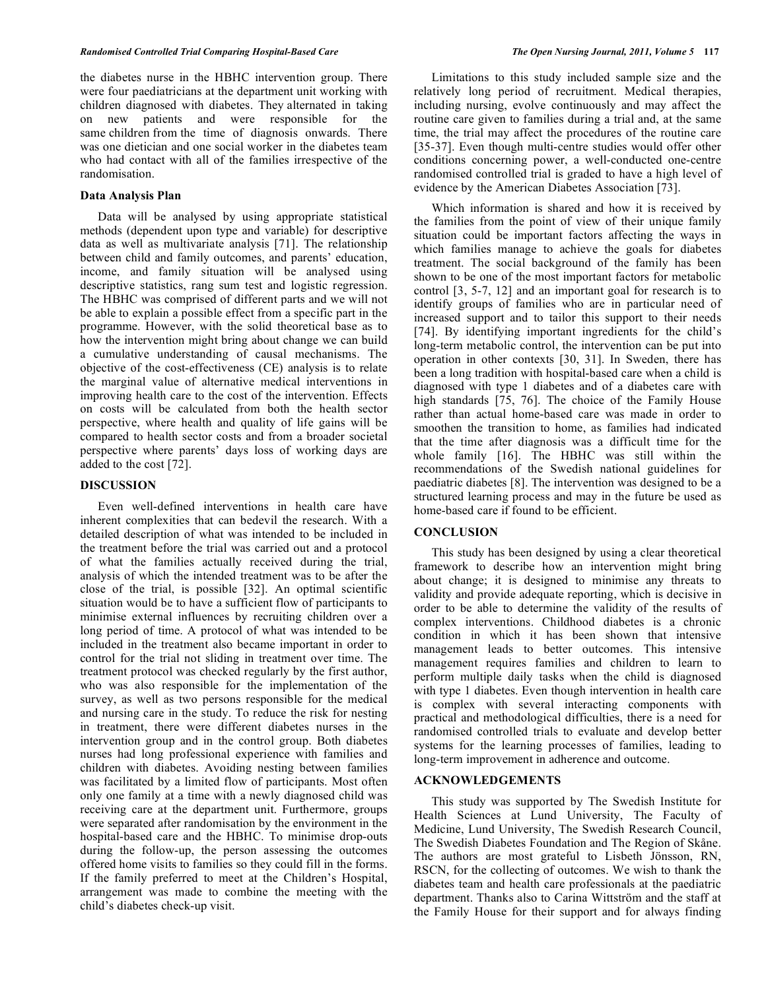the diabetes nurse in the HBHC intervention group. There were four paediatricians at the department unit working with children diagnosed with diabetes. They alternated in taking on new patients and were responsible for the same children from the time of diagnosis onwards. There was one dietician and one social worker in the diabetes team who had contact with all of the families irrespective of the randomisation.

# **Data Analysis Plan**

 Data will be analysed by using appropriate statistical methods (dependent upon type and variable) for descriptive data as well as multivariate analysis [71]. The relationship between child and family outcomes, and parents' education, income, and family situation will be analysed using descriptive statistics, rang sum test and logistic regression. The HBHC was comprised of different parts and we will not be able to explain a possible effect from a specific part in the programme. However, with the solid theoretical base as to how the intervention might bring about change we can build a cumulative understanding of causal mechanisms. The objective of the cost-effectiveness (CE) analysis is to relate the marginal value of alternative medical interventions in improving health care to the cost of the intervention. Effects on costs will be calculated from both the health sector perspective, where health and quality of life gains will be compared to health sector costs and from a broader societal perspective where parents' days loss of working days are added to the cost [72].

# **DISCUSSION**

 Even well-defined interventions in health care have inherent complexities that can bedevil the research. With a detailed description of what was intended to be included in the treatment before the trial was carried out and a protocol of what the families actually received during the trial, analysis of which the intended treatment was to be after the close of the trial, is possible [32]. An optimal scientific situation would be to have a sufficient flow of participants to minimise external influences by recruiting children over a long period of time. A protocol of what was intended to be included in the treatment also became important in order to control for the trial not sliding in treatment over time. The treatment protocol was checked regularly by the first author, who was also responsible for the implementation of the survey, as well as two persons responsible for the medical and nursing care in the study. To reduce the risk for nesting in treatment, there were different diabetes nurses in the intervention group and in the control group. Both diabetes nurses had long professional experience with families and children with diabetes. Avoiding nesting between families was facilitated by a limited flow of participants. Most often only one family at a time with a newly diagnosed child was receiving care at the department unit. Furthermore, groups were separated after randomisation by the environment in the hospital-based care and the HBHC. To minimise drop-outs during the follow-up, the person assessing the outcomes offered home visits to families so they could fill in the forms. If the family preferred to meet at the Children's Hospital, arrangement was made to combine the meeting with the child's diabetes check-up visit.

 Limitations to this study included sample size and the relatively long period of recruitment. Medical therapies, including nursing, evolve continuously and may affect the routine care given to families during a trial and, at the same time, the trial may affect the procedures of the routine care [35-37]. Even though multi-centre studies would offer other conditions concerning power, a well-conducted one-centre randomised controlled trial is graded to have a high level of evidence by the American Diabetes Association [73].

 Which information is shared and how it is received by the families from the point of view of their unique family situation could be important factors affecting the ways in which families manage to achieve the goals for diabetes treatment. The social background of the family has been shown to be one of the most important factors for metabolic control [3, 5-7, 12] and an important goal for research is to identify groups of families who are in particular need of increased support and to tailor this support to their needs [74]. By identifying important ingredients for the child's long-term metabolic control, the intervention can be put into operation in other contexts [30, 31]. In Sweden, there has been a long tradition with hospital-based care when a child is diagnosed with type 1 diabetes and of a diabetes care with high standards [75, 76]. The choice of the Family House rather than actual home-based care was made in order to smoothen the transition to home, as families had indicated that the time after diagnosis was a difficult time for the whole family [16]. The HBHC was still within the recommendations of the Swedish national guidelines for paediatric diabetes [8]. The intervention was designed to be a structured learning process and may in the future be used as home-based care if found to be efficient.

## **CONCLUSION**

 This study has been designed by using a clear theoretical framework to describe how an intervention might bring about change; it is designed to minimise any threats to validity and provide adequate reporting, which is decisive in order to be able to determine the validity of the results of complex interventions. Childhood diabetes is a chronic condition in which it has been shown that intensive management leads to better outcomes. This intensive management requires families and children to learn to perform multiple daily tasks when the child is diagnosed with type 1 diabetes. Even though intervention in health care is complex with several interacting components with practical and methodological difficulties, there is a need for randomised controlled trials to evaluate and develop better systems for the learning processes of families, leading to long-term improvement in adherence and outcome.

# **ACKNOWLEDGEMENTS**

 This study was supported by The Swedish Institute for Health Sciences at Lund University, The Faculty of Medicine, Lund University, The Swedish Research Council, The Swedish Diabetes Foundation and The Region of Skåne. The authors are most grateful to Lisbeth Jönsson, RN, RSCN, for the collecting of outcomes. We wish to thank the diabetes team and health care professionals at the paediatric department. Thanks also to Carina Wittström and the staff at the Family House for their support and for always finding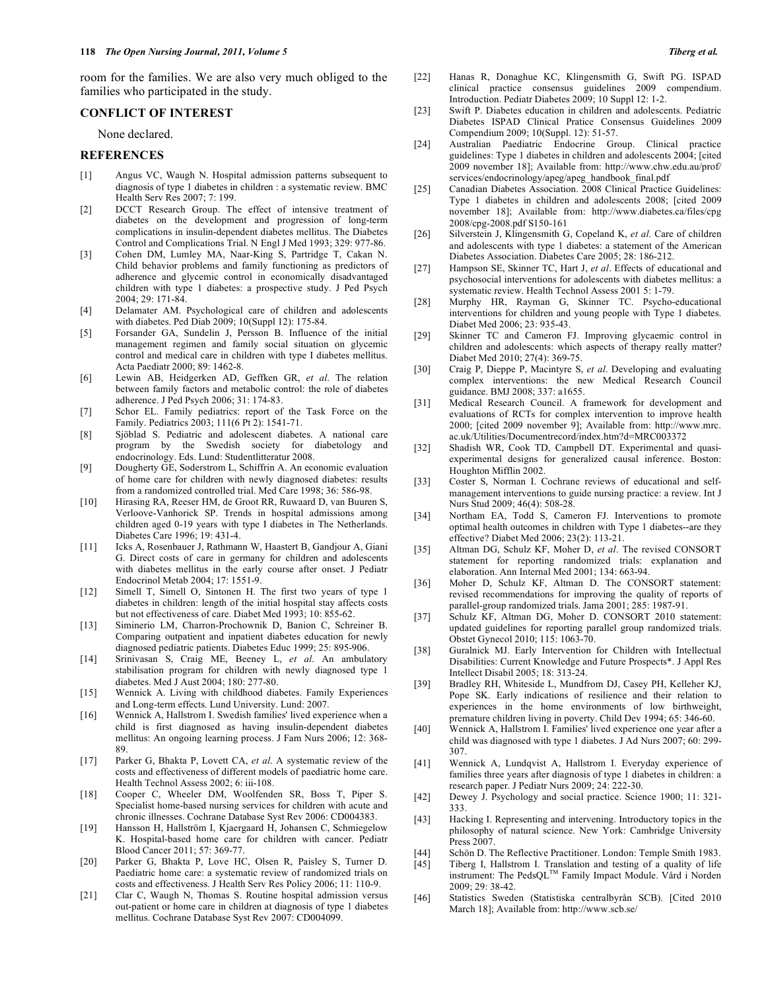room for the families. We are also very much obliged to the families who participated in the study.

# **CONFLICT OF INTEREST**

None declared.

# **REFERENCES**

- [1] Angus VC, Waugh N. Hospital admission patterns subsequent to diagnosis of type 1 diabetes in children : a systematic review. BMC Health Serv Res 2007; 7: 199.
- [2] DCCT Research Group. The effect of intensive treatment of diabetes on the development and progression of long-term complications in insulin-dependent diabetes mellitus. The Diabetes Control and Complications Trial. N Engl J Med 1993; 329: 977-86.
- [3] Cohen DM, Lumley MA, Naar-King S, Partridge T, Cakan N. Child behavior problems and family functioning as predictors of adherence and glycemic control in economically disadvantaged children with type 1 diabetes: a prospective study. J Ped Psych 2004; 29: 171-84.
- [4] Delamater AM. Psychological care of children and adolescents with diabetes. Ped Diab 2009; 10(Suppl 12): 175-84.
- [5] Forsander GA, Sundelin J, Persson B. Influence of the initial management regimen and family social situation on glycemic control and medical care in children with type I diabetes mellitus. Acta Paediatr 2000; 89: 1462-8.
- [6] Lewin AB, Heidgerken AD, Geffken GR, *et al*. The relation between family factors and metabolic control: the role of diabetes adherence. J Ped Psych 2006; 31: 174-83.
- [7] Schor EL. Family pediatrics: report of the Task Force on the Family. Pediatrics 2003; 111(6 Pt 2): 1541-71.
- [8] Sjöblad S. Pediatric and adolescent diabetes. A national care program by the Swedish society for diabetology and endocrinology. Eds. Lund: Studentlitteratur 2008.
- [9] Dougherty GE, Soderstrom L, Schiffrin A. An economic evaluation of home care for children with newly diagnosed diabetes: results from a randomized controlled trial. Med Care 1998; 36: 586-98.
- [10] Hirasing RA, Reeser HM, de Groot RR, Ruwaard D, van Buuren S, Verloove-Vanhorick SP. Trends in hospital admissions among children aged 0-19 years with type I diabetes in The Netherlands. Diabetes Care 1996; 19: 431-4.
- [11] Icks A, Rosenbauer J, Rathmann W, Haastert B, Gandjour A, Giani G. Direct costs of care in germany for children and adolescents with diabetes mellitus in the early course after onset. J Pediatr Endocrinol Metab 2004; 17: 1551-9.
- [12] Simell T, Simell O, Sintonen H. The first two years of type 1 diabetes in children: length of the initial hospital stay affects costs but not effectiveness of care. Diabet Med 1993; 10: 855-62.
- [13] Siminerio LM, Charron-Prochownik D, Banion C, Schreiner B. Comparing outpatient and inpatient diabetes education for newly diagnosed pediatric patients. Diabetes Educ 1999; 25: 895-906.
- [14] Srinivasan S, Craig ME, Beeney L, *et al*. An ambulatory stabilisation program for children with newly diagnosed type 1 diabetes. Med J Aust 2004; 180: 277-80.
- [15] Wennick A. Living with childhood diabetes. Family Experiences and Long-term effects. Lund University. Lund: 2007.
- [16] Wennick A, Hallstrom I. Swedish families' lived experience when a child is first diagnosed as having insulin-dependent diabetes mellitus: An ongoing learning process. J Fam Nurs 2006; 12: 368- 89.
- [17] Parker G, Bhakta P, Lovett CA, *et al*. A systematic review of the costs and effectiveness of different models of paediatric home care. Health Technol Assess 2002; 6: iii-108.
- [18] Cooper C, Wheeler DM, Woolfenden SR, Boss T, Piper S. Specialist home-based nursing services for children with acute and chronic illnesses. Cochrane Database Syst Rev 2006: CD004383.
- [19] Hansson H, Hallström I, Kjaergaard H, Johansen C, Schmiegelow K. Hospital-based home care for children with cancer. Pediatr Blood Cancer 2011; 57: 369-77.
- [20] Parker G, Bhakta P, Love HC, Olsen R, Paisley S, Turner D. Paediatric home care: a systematic review of randomized trials on costs and effectiveness. J Health Serv Res Policy 2006; 11: 110-9.
- [21] Clar C, Waugh N, Thomas S. Routine hospital admission versus out-patient or home care in children at diagnosis of type 1 diabetes mellitus. Cochrane Database Syst Rev 2007: CD004099.
- [22] Hanas R, Donaghue KC, Klingensmith G, Swift PG. ISPAD clinical practice consensus guidelines 2009 compendium. Introduction. Pediatr Diabetes 2009; 10 Suppl 12: 1-2.
- [23] Swift P. Diabetes education in children and adolescents. Pediatric Diabetes ISPAD Clinical Pratice Consensus Guidelines 2009 Compendium 2009; 10(Suppl. 12): 51-57.
- [24] Australian Paediatric Endocrine Group. Clinical practice guidelines: Type 1 diabetes in children and adolescents 2004; [cited 2009 november 18]; Available from: http://www.chw.edu.au/prof/ services/endocrinology/apeg/apeg\_handbook\_final.pdf
- [25] Canadian Diabetes Association. 2008 Clinical Practice Guidelines: Type 1 diabetes in children and adolescents 2008; [cited 2009 november 18]; Available from: http://www.diabetes.ca/files/cpg 2008/cpg-2008.pdf S150-161
- [26] Silverstein J, Klingensmith G, Copeland K, *et al*. Care of children and adolescents with type 1 diabetes: a statement of the American Diabetes Association. Diabetes Care 2005; 28: 186-212.
- [27] Hampson SE, Skinner TC, Hart J, *et al*. Effects of educational and psychosocial interventions for adolescents with diabetes mellitus: a systematic review. Health Technol Assess 2001 5: 1-79.
- [28] Murphy HR, Rayman G, Skinner TC. Psycho-educational interventions for children and young people with Type 1 diabetes. Diabet Med 2006; 23: 935-43.
- [29] Skinner TC and Cameron FJ. Improving glycaemic control in children and adolescents: which aspects of therapy really matter? Diabet Med 2010; 27(4): 369-75.
- [30] Craig P, Dieppe P, Macintyre S, *et al*. Developing and evaluating complex interventions: the new Medical Research Council guidance. BMJ 2008; 337: a1655.
- [31] Medical Research Council. A framework for development and evaluations of RCTs for complex intervention to improve health 2000; [cited 2009 november 9]; Available from: http://www.mrc. ac.uk/Utilities/Documentrecord/index.htm?d=MRC003372
- [32] Shadish WR, Cook TD, Campbell DT. Experimental and quasiexperimental designs for generalized causal inference. Boston: Houghton Mifflin 2002.
- [33] Coster S, Norman I. Cochrane reviews of educational and selfmanagement interventions to guide nursing practice: a review. Int J Nurs Stud 2009; 46(4): 508-28.
- [34] Northam EA, Todd S, Cameron FJ. Interventions to promote optimal health outcomes in children with Type 1 diabetes--are they effective? Diabet Med 2006; 23(2): 113-21.
- [35] Altman DG, Schulz KF, Moher D, *et al*. The revised CONSORT statement for reporting randomized trials: explanation and elaboration. Ann Internal Med 2001; 134: 663-94.
- [36] Moher D, Schulz KF, Altman D. The CONSORT statement: revised recommendations for improving the quality of reports of parallel-group randomized trials. Jama 2001; 285: 1987-91.
- [37] Schulz KF, Altman DG, Moher D. CONSORT 2010 statement: updated guidelines for reporting parallel group randomized trials. Obstet Gynecol 2010; 115: 1063-70.
- [38] Guralnick MJ. Early Intervention for Children with Intellectual Disabilities: Current Knowledge and Future Prospects\*. J Appl Res Intellect Disabil 2005; 18: 313-24.
- [39] Bradley RH, Whiteside L, Mundfrom DJ, Casey PH, Kelleher KJ, Pope SK. Early indications of resilience and their relation to experiences in the home environments of low birthweight, premature children living in poverty. Child Dev 1994; 65: 346-60.
- [40] Wennick A, Hallstrom I. Families' lived experience one year after a child was diagnosed with type 1 diabetes. J Ad Nurs 2007; 60: 299- 307.
- [41] Wennick A, Lundqvist A, Hallstrom I. Everyday experience of families three years after diagnosis of type 1 diabetes in children: a research paper. J Pediatr Nurs 2009; 24: 222-30.
- [42] Dewey J. Psychology and social practice. Science 1900; 11: 321- 333.
- [43] Hacking I. Representing and intervening. Introductory topics in the philosophy of natural science. New York: Cambridge University Press 2007.
- [44] Schön D. The Reflective Practitioner. London: Temple Smith 1983.<br>[45] Tiberg I, Hallstrom I. Translation and testing of a quality of life
- Tiberg I, Hallstrom I. Translation and testing of a quality of life instrument: The PedsQL<sup>TM</sup> Family Impact Module. Vård i Norden 2009; 29: 38-42.
- [46] Statistics Sweden (Statistiska centralbyrån SCB). [Cited 2010 March 18]; Available from: http://www.scb.se/